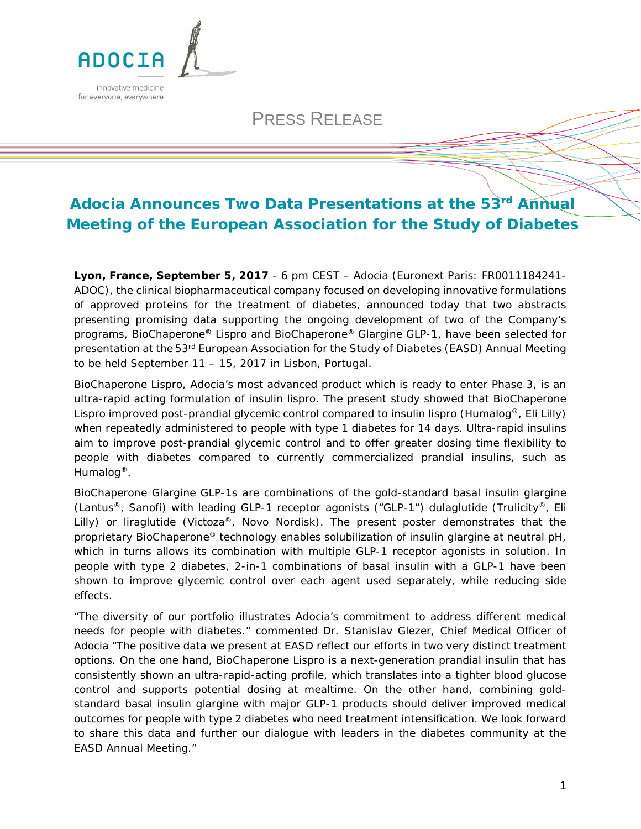

## PRESS RELEASE

# **Adocia Announces Two Data Presentations at the 53rd Annual Meeting of the European Association for the Study of Diabetes**

**Lyon, France, September 5, 2017** - 6 pm CEST – Adocia (Euronext Paris: FR0011184241- ADOC), the clinical biopharmaceutical company focused on developing innovative formulations of approved proteins for the treatment of diabetes, announced today that two abstracts presenting promising data supporting the ongoing development of two of the Company's programs, BioChaperone*®* Lispro and BioChaperone*®* Glargine GLP-1, have been selected for presentation at the 53<sup>rd</sup> European Association for the Study of Diabetes (EASD) Annual Meeting to be held September 11 – 15, 2017 in Lisbon, Portugal.

BioChaperone Lispro, Adocia's most advanced product which is ready to enter Phase 3, is an ultra-rapid acting formulation of insulin lispro. The present study showed that BioChaperone Lispro improved post-prandial glycemic control compared to insulin lispro (Humalog<sup>®</sup>, Eli Lilly) when repeatedly administered to people with type 1 diabetes for 14 days. Ultra-rapid insulins aim to improve post-prandial glycemic control and to offer greater dosing time flexibility to people with diabetes compared to currently commercialized prandial insulins, such as Humalog®.

BioChaperone Glargine GLP-1s are combinations of the gold-standard basal insulin glargine (Lantus<sup>®</sup>, Sanofi) with leading GLP-1 receptor agonists ("GLP-1") dulaglutide (Trulicity<sup>®</sup>, Eli Lilly) or liraglutide (Victoza®, Novo Nordisk). The present poster demonstrates that the proprietary BioChaperone® technology enables solubilization of insulin glargine at neutral pH, which in turns allows its combination with multiple GLP-1 receptor agonists in solution. In people with type 2 diabetes, 2-in-1 combinations of basal insulin with a GLP-1 have been shown to improve glycemic control over each agent used separately, while reducing side effects.

"*The diversity of our portfolio illustrates Adocia's commitment to address different medical needs for people with diabetes.*" commented Dr. Stanislav Glezer, Chief Medical Officer of Adocia "*The positive data we present at EASD reflect our efforts in two very distinct treatment options. On the one hand, BioChaperone Lispro is a next-generation prandial insulin that has consistently shown an ultra-rapid-acting profile, which translates into a tighter blood glucose control and supports potential dosing at mealtime. On the other hand, combining goldstandard basal insulin glargine with major GLP-1 products should deliver improved medical outcomes for people with type 2 diabetes who need treatment intensification. We look forward to share this data and further our dialogue with leaders in the diabetes community at the EASD Annual Meeting."*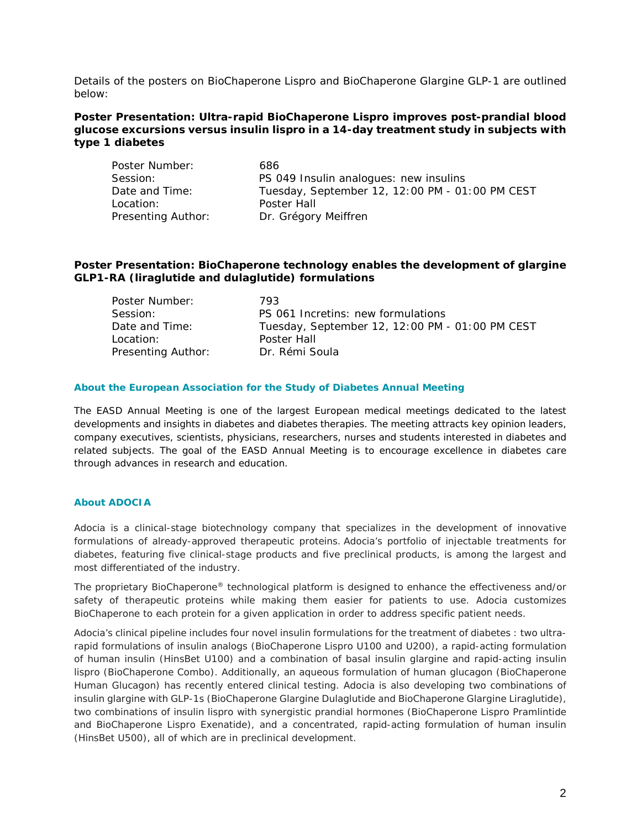Details of the posters on BioChaperone Lispro and BioChaperone Glargine GLP-1 are outlined below:

## **Poster Presentation: Ultra-rapid BioChaperone Lispro improves post-prandial blood glucose excursions versus insulin lispro in a 14-day treatment study in subjects with type 1 diabetes**

| Poster Number:     | 686                                             |  |  |
|--------------------|-------------------------------------------------|--|--|
| Session:           | PS 049 Insulin analogues: new insulins          |  |  |
| Date and Time:     | Tuesday, September 12, 12:00 PM - 01:00 PM CEST |  |  |
| Location:          | Poster Hall                                     |  |  |
| Presenting Author: | Dr. Grégory Meiffren                            |  |  |

## **Poster Presentation: BioChaperone technology enables the development of glargine GLP1-RA (liraglutide and dulaglutide) formulations**

| Poster Number:     | 793                                             |  |  |
|--------------------|-------------------------------------------------|--|--|
| Session:           | PS 061 Incretins: new formulations              |  |  |
| Date and Time:     | Tuesday, September 12, 12:00 PM - 01:00 PM CEST |  |  |
| Location:          | Poster Hall                                     |  |  |
| Presenting Author: | Dr. Rémi Soula                                  |  |  |

#### **About the European Association for the Study of Diabetes Annual Meeting**

The EASD Annual Meeting is one of the largest European medical meetings dedicated to the latest developments and insights in diabetes and diabetes therapies. The meeting attracts key opinion leaders, company executives, scientists, physicians, researchers, nurses and students interested in diabetes and related subjects. The goal of the EASD Annual Meeting is to encourage excellence in diabetes care through advances in research and education*.*

### **About ADOCIA**

Adocia is a clinical-stage biotechnology company that specializes in the development of innovative formulations of already-approved therapeutic proteins. Adocia's portfolio of injectable treatments for diabetes, featuring five clinical-stage products and five preclinical products, is among the largest and most differentiated of the industry.

The proprietary BioChaperone® technological platform is designed to enhance the effectiveness and/or safety of therapeutic proteins while making them easier for patients to use. Adocia customizes BioChaperone to each protein for a given application in order to address specific patient needs.

Adocia's clinical pipeline includes four novel insulin formulations for the treatment of diabetes : two ultrarapid formulations of insulin analogs (BioChaperone Lispro U100 and U200), a rapid-acting formulation of human insulin (HinsBet U100) and a combination of basal insulin glargine and rapid-acting insulin lispro (BioChaperone Combo). Additionally, an aqueous formulation of human glucagon (BioChaperone Human Glucagon) has recently entered clinical testing. Adocia is also developing two combinations of insulin glargine with GLP-1s (BioChaperone Glargine Dulaglutide and BioChaperone Glargine Liraglutide), two combinations of insulin lispro with synergistic prandial hormones (BioChaperone Lispro Pramlintide and BioChaperone Lispro Exenatide), and a concentrated, rapid-acting formulation of human insulin (HinsBet U500), all of which are in preclinical development.